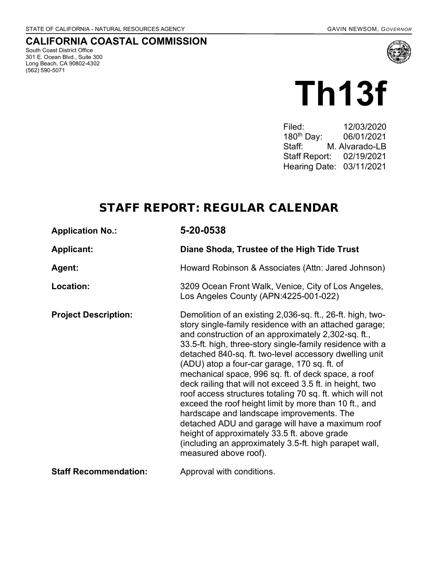# **CALIFORNIA COASTAL COMMISSION**

South Coast District Office 301 E. Ocean Blvd., Suite 300 Long Beach, CA 90802-4302 (562) 590-5071



# **Th13f**

Filed: 12/03/2020<br>180<sup>th</sup> Day: 06/01/2021 180th Day: 06/01/2021 Staff: M. Alvarado-LB Staff Report: 02/19/2021 Hearing Date: 03/11/2021

# STAFF REPORT: REGULAR CALENDAR

| <b>Application No.:</b>      | 5-20-0538                                                                                                                                                                                                                                                                                                                                                                                                                                                                                                                                                                                                                                                                                                                                                                                                                       |  |  |
|------------------------------|---------------------------------------------------------------------------------------------------------------------------------------------------------------------------------------------------------------------------------------------------------------------------------------------------------------------------------------------------------------------------------------------------------------------------------------------------------------------------------------------------------------------------------------------------------------------------------------------------------------------------------------------------------------------------------------------------------------------------------------------------------------------------------------------------------------------------------|--|--|
| <b>Applicant:</b>            | Diane Shoda, Trustee of the High Tide Trust                                                                                                                                                                                                                                                                                                                                                                                                                                                                                                                                                                                                                                                                                                                                                                                     |  |  |
| Agent:                       | Howard Robinson & Associates (Attn: Jared Johnson)                                                                                                                                                                                                                                                                                                                                                                                                                                                                                                                                                                                                                                                                                                                                                                              |  |  |
| Location:                    | 3209 Ocean Front Walk, Venice, City of Los Angeles,<br>Los Angeles County (APN:4225-001-022)                                                                                                                                                                                                                                                                                                                                                                                                                                                                                                                                                                                                                                                                                                                                    |  |  |
| <b>Project Description:</b>  | Demolition of an existing 2,036-sq. ft., 26-ft. high, two-<br>story single-family residence with an attached garage;<br>and construction of an approximately 2,302-sq. ft.,<br>33.5-ft. high, three-story single-family residence with a<br>detached 840-sq. ft. two-level accessory dwelling unit<br>(ADU) atop a four-car garage, 170 sq. ft. of<br>mechanical space, 996 sq. ft. of deck space, a roof<br>deck railing that will not exceed 3.5 ft. in height, two<br>roof access structures totaling 70 sq. ft. which will not<br>exceed the roof height limit by more than 10 ft., and<br>hardscape and landscape improvements. The<br>detached ADU and garage will have a maximum roof<br>height of approximately 33.5 ft. above grade<br>(including an approximately 3.5-ft. high parapet wall,<br>measured above roof). |  |  |
| <b>Staff Recommendation:</b> | Approval with conditions.                                                                                                                                                                                                                                                                                                                                                                                                                                                                                                                                                                                                                                                                                                                                                                                                       |  |  |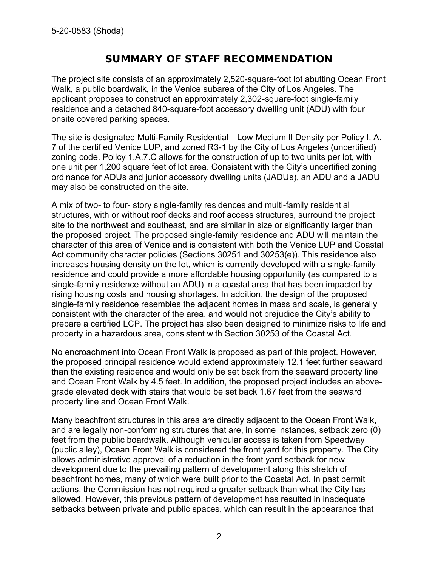# SUMMARY OF STAFF RECOMMENDATION

The project site consists of an approximately 2,520-square-foot lot abutting Ocean Front Walk, a public boardwalk, in the Venice subarea of the City of Los Angeles. The applicant proposes to construct an approximately 2,302-square-foot single-family residence and a detached 840-square-foot accessory dwelling unit (ADU) with four onsite covered parking spaces.

The site is designated Multi-Family Residential—Low Medium II Density per Policy I. A. 7 of the certified Venice LUP, and zoned R3-1 by the City of Los Angeles (uncertified) zoning code. Policy 1.A.7.C allows for the construction of up to two units per lot, with one unit per 1,200 square feet of lot area. Consistent with the City's uncertified zoning ordinance for ADUs and junior accessory dwelling units (JADUs), an ADU and a JADU may also be constructed on the site.

A mix of two- to four- story single-family residences and multi-family residential structures, with or without roof decks and roof access structures, surround the project site to the northwest and southeast, and are similar in size or significantly larger than the proposed project. The proposed single-family residence and ADU will maintain the character of this area of Venice and is consistent with both the Venice LUP and Coastal Act community character policies (Sections 30251 and 30253(e)). This residence also increases housing density on the lot, which is currently developed with a single-family residence and could provide a more affordable housing opportunity (as compared to a single-family residence without an ADU) in a coastal area that has been impacted by rising housing costs and housing shortages. In addition, the design of the proposed single-family residence resembles the adjacent homes in mass and scale, is generally consistent with the character of the area, and would not prejudice the City's ability to prepare a certified LCP. The project has also been designed to minimize risks to life and property in a hazardous area, consistent with Section 30253 of the Coastal Act.

No encroachment into Ocean Front Walk is proposed as part of this project. However, the proposed principal residence would extend approximately 12.1 feet further seaward than the existing residence and would only be set back from the seaward property line and Ocean Front Walk by 4.5 feet. In addition, the proposed project includes an abovegrade elevated deck with stairs that would be set back 1.67 feet from the seaward property line and Ocean Front Walk.

Many beachfront structures in this area are directly adjacent to the Ocean Front Walk, and are legally non-conforming structures that are, in some instances, setback zero (0) feet from the public boardwalk. Although vehicular access is taken from Speedway (public alley), Ocean Front Walk is considered the front yard for this property. The City allows administrative approval of a reduction in the front yard setback for new development due to the prevailing pattern of development along this stretch of beachfront homes, many of which were built prior to the Coastal Act. In past permit actions, the Commission has not required a greater setback than what the City has allowed. However, this previous pattern of development has resulted in inadequate setbacks between private and public spaces, which can result in the appearance that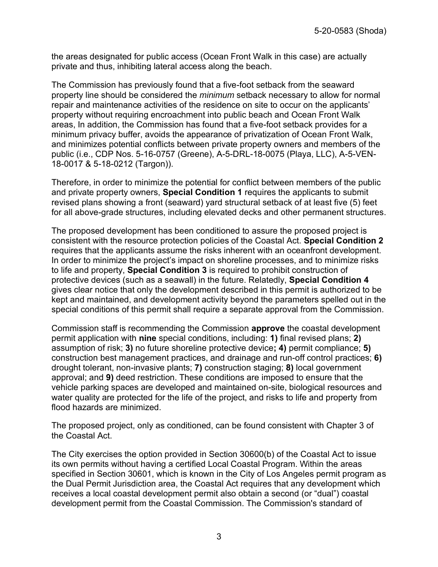the areas designated for public access (Ocean Front Walk in this case) are actually private and thus, inhibiting lateral access along the beach.

The Commission has previously found that a five-foot setback from the seaward property line should be considered the *minimum* setback necessary to allow for normal repair and maintenance activities of the residence on site to occur on the applicants' property without requiring encroachment into public beach and Ocean Front Walk areas, In addition, the Commission has found that a five-foot setback provides for a minimum privacy buffer, avoids the appearance of privatization of Ocean Front Walk, and minimizes potential conflicts between private property owners and members of the public (i.e., CDP Nos. 5-16-0757 (Greene), A-5-DRL-18-0075 (Playa, LLC), A-5-VEN-18-0017 & 5-18-0212 (Targon)).

Therefore, in order to minimize the potential for conflict between members of the public and private property owners, **Special Condition 1** requires the applicants to submit revised plans showing a front (seaward) yard structural setback of at least five (5) feet for all above-grade structures, including elevated decks and other permanent structures.

The proposed development has been conditioned to assure the proposed project is consistent with the resource protection policies of the Coastal Act. **Special Condition 2** requires that the applicants assume the risks inherent with an oceanfront development. In order to minimize the project's impact on shoreline processes, and to minimize risks to life and property, **Special Condition 3** is required to prohibit construction of protective devices (such as a seawall) in the future. Relatedly, **Special Condition 4** gives clear notice that only the development described in this permit is authorized to be kept and maintained, and development activity beyond the parameters spelled out in the special conditions of this permit shall require a separate approval from the Commission.

Commission staff is recommending the Commission **approve** the coastal development permit application with **nine** special conditions, including: **1)** final revised plans; **2)** assumption of risk; **3)** no future shoreline protective device**; 4)** permit compliance; **5)**  construction best management practices, and drainage and run-off control practices; **6)**  drought tolerant, non-invasive plants; **7)** construction staging; **8)** local government approval; and **9)** deed restriction. These conditions are imposed to ensure that the vehicle parking spaces are developed and maintained on-site, biological resources and water quality are protected for the life of the project, and risks to life and property from flood hazards are minimized.

The proposed project, only as conditioned, can be found consistent with Chapter 3 of the Coastal Act.

The City exercises the option provided in Section 30600(b) of the Coastal Act to issue its own permits without having a certified Local Coastal Program. Within the areas specified in Section 30601, which is known in the City of Los Angeles permit program as the Dual Permit Jurisdiction area, the Coastal Act requires that any development which receives a local coastal development permit also obtain a second (or "dual") coastal development permit from the Coastal Commission. The Commission's standard of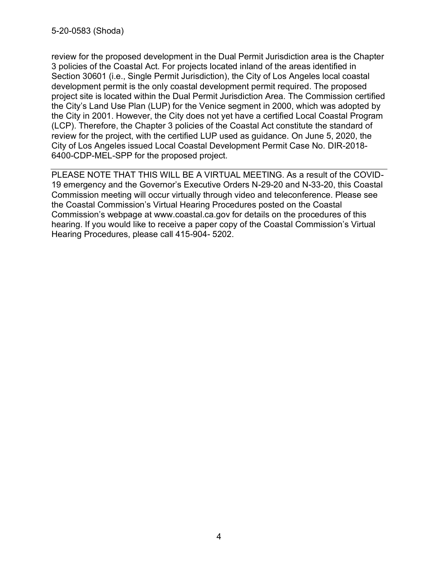review for the proposed development in the Dual Permit Jurisdiction area is the Chapter 3 policies of the Coastal Act. For projects located inland of the areas identified in Section 30601 (i.e., Single Permit Jurisdiction), the City of Los Angeles local coastal development permit is the only coastal development permit required. The proposed project site is located within the Dual Permit Jurisdiction Area. The Commission certified the City's Land Use Plan (LUP) for the Venice segment in 2000, which was adopted by the City in 2001. However, the City does not yet have a certified Local Coastal Program (LCP). Therefore, the Chapter 3 policies of the Coastal Act constitute the standard of review for the project, with the certified LUP used as guidance. On June 5, 2020, the City of Los Angeles issued Local Coastal Development Permit Case No. DIR-2018- 6400-CDP-MEL-SPP for the proposed project.

PLEASE NOTE THAT THIS WILL BE A VIRTUAL MEETING. As a result of the COVID-19 emergency and the Governor's Executive Orders N-29-20 and N-33-20, this Coastal Commission meeting will occur virtually through video and teleconference. Please see the Coastal Commission's Virtual Hearing Procedures posted on the Coastal Commission's webpage at www.coastal.ca.gov for details on the procedures of this hearing. If you would like to receive a paper copy of the Coastal Commission's Virtual Hearing Procedures, please call 415-904- 5202.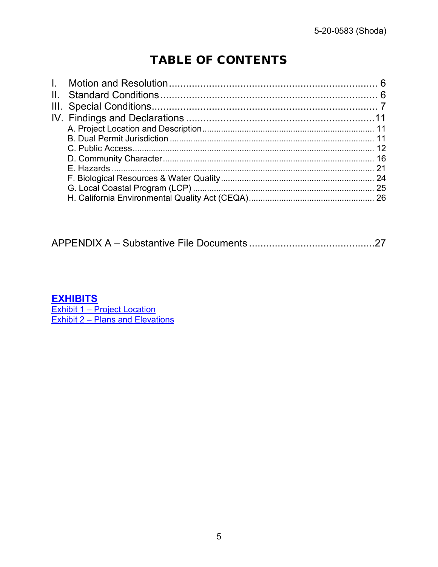# TABLE OF CONTENTS

|--|--|--|--|--|--|

# **EXHIBITS**

Exhibit 1 – Project Location<br>Exhibit 2 – Plans and Elevations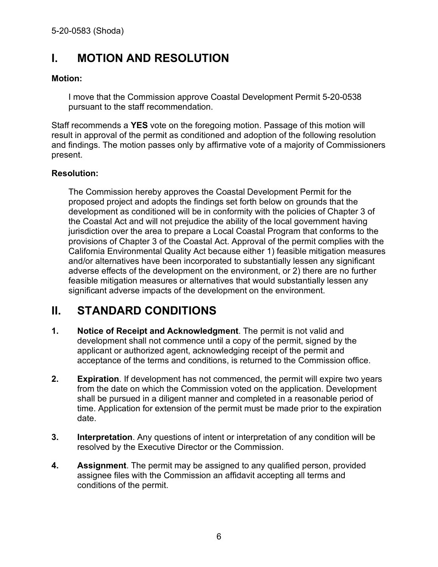# <span id="page-5-0"></span>**I. MOTION AND RESOLUTION**

#### **Motion:**

I move that the Commission approve Coastal Development Permit 5-20-0538 pursuant to the staff recommendation.

Staff recommends a **YES** vote on the foregoing motion. Passage of this motion will result in approval of the permit as conditioned and adoption of the following resolution and findings. The motion passes only by affirmative vote of a majority of Commissioners present.

#### **Resolution:**

The Commission hereby approves the Coastal Development Permit for the proposed project and adopts the findings set forth below on grounds that the development as conditioned will be in conformity with the policies of Chapter 3 of the Coastal Act and will not prejudice the ability of the local government having jurisdiction over the area to prepare a Local Coastal Program that conforms to the provisions of Chapter 3 of the Coastal Act. Approval of the permit complies with the California Environmental Quality Act because either 1) feasible mitigation measures and/or alternatives have been incorporated to substantially lessen any significant adverse effects of the development on the environment, or 2) there are no further feasible mitigation measures or alternatives that would substantially lessen any significant adverse impacts of the development on the environment.

# <span id="page-5-1"></span>**II. STANDARD CONDITIONS**

- **1. Notice of Receipt and Acknowledgment**. The permit is not valid and development shall not commence until a copy of the permit, signed by the applicant or authorized agent, acknowledging receipt of the permit and acceptance of the terms and conditions, is returned to the Commission office.
- **2. Expiration**. If development has not commenced, the permit will expire two years from the date on which the Commission voted on the application. Development shall be pursued in a diligent manner and completed in a reasonable period of time. Application for extension of the permit must be made prior to the expiration date.
- **3. Interpretation**. Any questions of intent or interpretation of any condition will be resolved by the Executive Director or the Commission.
- **4. Assignment**. The permit may be assigned to any qualified person, provided assignee files with the Commission an affidavit accepting all terms and conditions of the permit.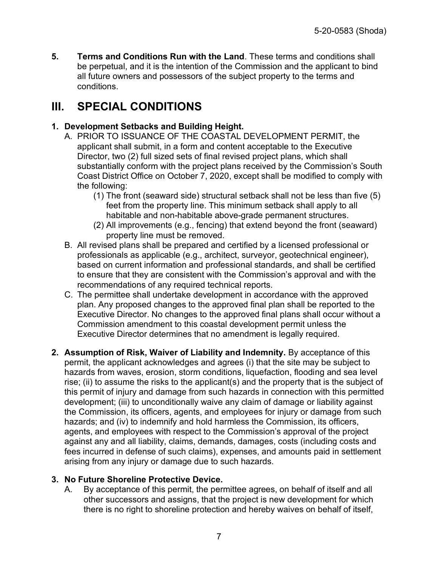**5. Terms and Conditions Run with the Land**. These terms and conditions shall be perpetual, and it is the intention of the Commission and the applicant to bind all future owners and possessors of the subject property to the terms and conditions.

# <span id="page-6-0"></span>**III. SPECIAL CONDITIONS**

### **1. Development Setbacks and Building Height.**

- A. PRIOR TO ISSUANCE OF THE COASTAL DEVELOPMENT PERMIT, the applicant shall submit, in a form and content acceptable to the Executive Director, two (2) full sized sets of final revised project plans, which shall substantially conform with the project plans received by the Commission's South Coast District Office on October 7, 2020, except shall be modified to comply with the following:
	- (1) The front (seaward side) structural setback shall not be less than five (5) feet from the property line. This minimum setback shall apply to all habitable and non-habitable above-grade permanent structures.
	- (2) All improvements (e.g., fencing) that extend beyond the front (seaward) property line must be removed.
- B. All revised plans shall be prepared and certified by a licensed professional or professionals as applicable (e.g., architect, surveyor, geotechnical engineer), based on current information and professional standards, and shall be certified to ensure that they are consistent with the Commission's approval and with the recommendations of any required technical reports.
- C. The permittee shall undertake development in accordance with the approved plan. Any proposed changes to the approved final plan shall be reported to the Executive Director. No changes to the approved final plans shall occur without a Commission amendment to this coastal development permit unless the Executive Director determines that no amendment is legally required.
- **2. Assumption of Risk, Waiver of Liability and Indemnity.** By acceptance of this permit, the applicant acknowledges and agrees (i) that the site may be subject to hazards from waves, erosion, storm conditions, liquefaction, flooding and sea level rise; (ii) to assume the risks to the applicant(s) and the property that is the subject of this permit of injury and damage from such hazards in connection with this permitted development; (iii) to unconditionally waive any claim of damage or liability against the Commission, its officers, agents, and employees for injury or damage from such hazards; and (iv) to indemnify and hold harmless the Commission, its officers, agents, and employees with respect to the Commission's approval of the project against any and all liability, claims, demands, damages, costs (including costs and fees incurred in defense of such claims), expenses, and amounts paid in settlement arising from any injury or damage due to such hazards.

## **3. No Future Shoreline Protective Device.**

A. By acceptance of this permit, the permittee agrees, on behalf of itself and all other successors and assigns, that the project is new development for which there is no right to shoreline protection and hereby waives on behalf of itself,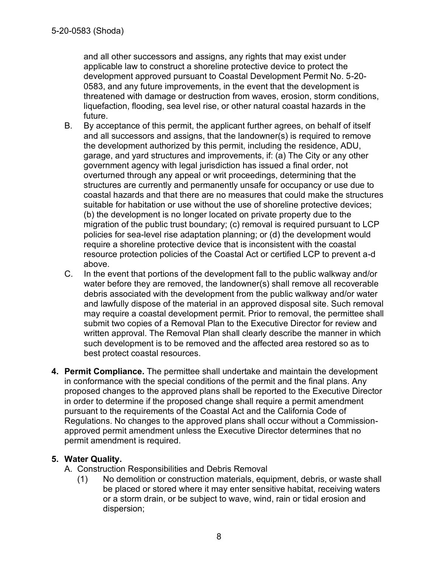and all other successors and assigns, any rights that may exist under applicable law to construct a shoreline protective device to protect the development approved pursuant to Coastal Development Permit No. 5-20- 0583, and any future improvements, in the event that the development is threatened with damage or destruction from waves, erosion, storm conditions, liquefaction, flooding, sea level rise, or other natural coastal hazards in the future.

- B. By acceptance of this permit, the applicant further agrees, on behalf of itself and all successors and assigns, that the landowner(s) is required to remove the development authorized by this permit, including the residence, ADU, garage, and yard structures and improvements, if: (a) The City or any other government agency with legal jurisdiction has issued a final order, not overturned through any appeal or writ proceedings, determining that the structures are currently and permanently unsafe for occupancy or use due to coastal hazards and that there are no measures that could make the structures suitable for habitation or use without the use of shoreline protective devices; (b) the development is no longer located on private property due to the migration of the public trust boundary; (c) removal is required pursuant to LCP policies for sea-level rise adaptation planning; or (d) the development would require a shoreline protective device that is inconsistent with the coastal resource protection policies of the Coastal Act or certified LCP to prevent a-d above.
- C. In the event that portions of the development fall to the public walkway and/or water before they are removed, the landowner(s) shall remove all recoverable debris associated with the development from the public walkway and/or water and lawfully dispose of the material in an approved disposal site. Such removal may require a coastal development permit. Prior to removal, the permittee shall submit two copies of a Removal Plan to the Executive Director for review and written approval. The Removal Plan shall clearly describe the manner in which such development is to be removed and the affected area restored so as to best protect coastal resources.
- **4. Permit Compliance.** The permittee shall undertake and maintain the development in conformance with the special conditions of the permit and the final plans. Any proposed changes to the approved plans shall be reported to the Executive Director in order to determine if the proposed change shall require a permit amendment pursuant to the requirements of the Coastal Act and the California Code of Regulations. No changes to the approved plans shall occur without a Commissionapproved permit amendment unless the Executive Director determines that no permit amendment is required.

## **5. Water Quality.**

A. Construction Responsibilities and Debris Removal

(1) No demolition or construction materials, equipment, debris, or waste shall be placed or stored where it may enter sensitive habitat, receiving waters or a storm drain, or be subject to wave, wind, rain or tidal erosion and dispersion;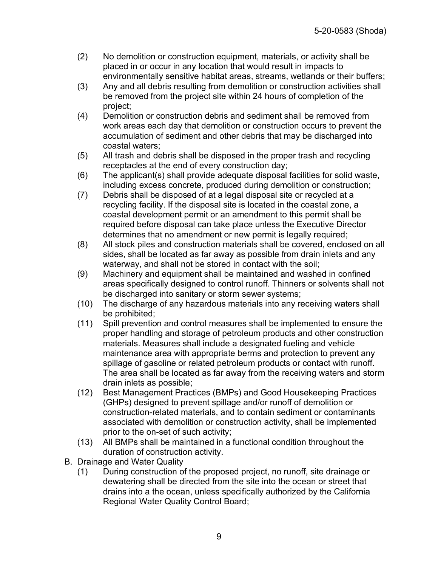- (2) No demolition or construction equipment, materials, or activity shall be placed in or occur in any location that would result in impacts to environmentally sensitive habitat areas, streams, wetlands or their buffers;
- (3) Any and all debris resulting from demolition or construction activities shall be removed from the project site within 24 hours of completion of the project;
- (4) Demolition or construction debris and sediment shall be removed from work areas each day that demolition or construction occurs to prevent the accumulation of sediment and other debris that may be discharged into coastal waters;
- (5) All trash and debris shall be disposed in the proper trash and recycling receptacles at the end of every construction day;
- (6) The applicant(s) shall provide adequate disposal facilities for solid waste, including excess concrete, produced during demolition or construction;
- (7) Debris shall be disposed of at a legal disposal site or recycled at a recycling facility. If the disposal site is located in the coastal zone, a coastal development permit or an amendment to this permit shall be required before disposal can take place unless the Executive Director determines that no amendment or new permit is legally required;
- (8) All stock piles and construction materials shall be covered, enclosed on all sides, shall be located as far away as possible from drain inlets and any waterway, and shall not be stored in contact with the soil;
- (9) Machinery and equipment shall be maintained and washed in confined areas specifically designed to control runoff. Thinners or solvents shall not be discharged into sanitary or storm sewer systems;
- (10) The discharge of any hazardous materials into any receiving waters shall be prohibited;
- (11) Spill prevention and control measures shall be implemented to ensure the proper handling and storage of petroleum products and other construction materials. Measures shall include a designated fueling and vehicle maintenance area with appropriate berms and protection to prevent any spillage of gasoline or related petroleum products or contact with runoff. The area shall be located as far away from the receiving waters and storm drain inlets as possible;
- (12) Best Management Practices (BMPs) and Good Housekeeping Practices (GHPs) designed to prevent spillage and/or runoff of demolition or construction-related materials, and to contain sediment or contaminants associated with demolition or construction activity, shall be implemented prior to the on-set of such activity;
- (13) All BMPs shall be maintained in a functional condition throughout the duration of construction activity.
- B. Drainage and Water Quality
	- (1) During construction of the proposed project, no runoff, site drainage or dewatering shall be directed from the site into the ocean or street that drains into a the ocean, unless specifically authorized by the California Regional Water Quality Control Board;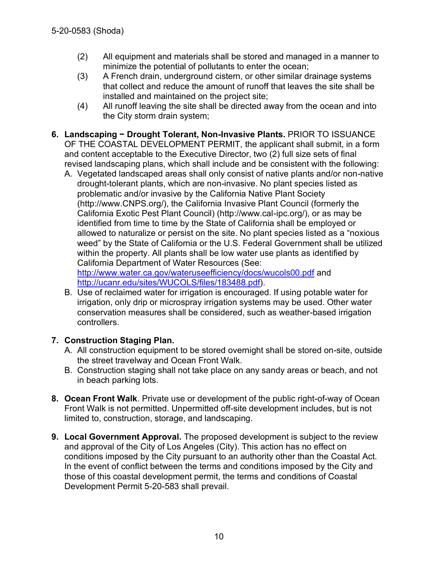- (2) All equipment and materials shall be stored and managed in a manner to minimize the potential of pollutants to enter the ocean;
- (3) A French drain, underground cistern, or other similar drainage systems that collect and reduce the amount of runoff that leaves the site shall be installed and maintained on the project site;
- (4) All runoff leaving the site shall be directed away from the ocean and into the City storm drain system;
- **6. Landscaping − Drought Tolerant, Non-Invasive Plants.** PRIOR TO ISSUANCE

OF THE COASTAL DEVELOPMENT PERMIT, the applicant shall submit, in a form and content acceptable to the Executive Director, two (2) full size sets of final revised landscaping plans, which shall include and be consistent with the following:

A. Vegetated landscaped areas shall only consist of native plants and/or non-native drought-tolerant plants, which are non-invasive. No plant species listed as problematic and/or invasive by the California Native Plant Society (http://www.CNPS.org/), the California Invasive Plant Council (formerly the California Exotic Pest Plant Council) (http://www.cal-ipc.org/), or as may be identified from time to time by the State of California shall be employed or allowed to naturalize or persist on the site. No plant species listed as a "noxious weed" by the State of California or the U.S. Federal Government shall be utilized within the property. All plants shall be low water use plants as identified by California Department of Water Resources (See:

<http://www.water.ca.gov/wateruseefficiency/docs/wucols00.pdf> and [http://ucanr.edu/sites/WUCOLS/files/183488.pdf\)](http://ucanr.edu/sites/WUCOLS/files/183488.pdf).

B. Use of reclaimed water for irrigation is encouraged. If using potable water for irrigation, only drip or microspray irrigation systems may be used. Other water conservation measures shall be considered, such as weather-based irrigation controllers.

## **7. Construction Staging Plan.**

- A. All construction equipment to be stored overnight shall be stored on-site, outside the street travelway and Ocean Front Walk.
- B. Construction staging shall not take place on any sandy areas or beach, and not in beach parking lots.
- **8. Ocean Front Walk**. Private use or development of the public right-of-way of Ocean Front Walk is not permitted. Unpermitted off-site development includes, but is not limited to, construction, storage, and landscaping.
- **9. Local Government Approval.** The proposed development is subject to the review and approval of the City of Los Angeles (City). This action has no effect on conditions imposed by the City pursuant to an authority other than the Coastal Act. In the event of conflict between the terms and conditions imposed by the City and those of this coastal development permit, the terms and conditions of Coastal Development Permit 5-20-583 shall prevail.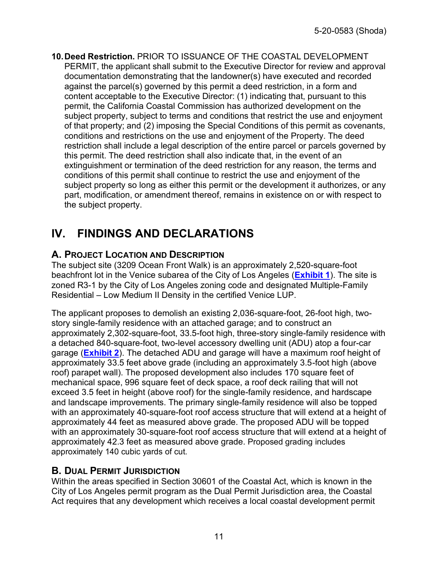**10.Deed Restriction.** PRIOR TO ISSUANCE OF THE COASTAL DEVELOPMENT PERMIT, the applicant shall submit to the Executive Director for review and approval documentation demonstrating that the landowner(s) have executed and recorded against the parcel(s) governed by this permit a deed restriction, in a form and content acceptable to the Executive Director: (1) indicating that, pursuant to this permit, the California Coastal Commission has authorized development on the subject property, subject to terms and conditions that restrict the use and enjoyment of that property; and (2) imposing the Special Conditions of this permit as covenants, conditions and restrictions on the use and enjoyment of the Property. The deed restriction shall include a legal description of the entire parcel or parcels governed by this permit. The deed restriction shall also indicate that, in the event of an extinguishment or termination of the deed restriction for any reason, the terms and conditions of this permit shall continue to restrict the use and enjoyment of the subject property so long as either this permit or the development it authorizes, or any part, modification, or amendment thereof, remains in existence on or with respect to the subject property.

# <span id="page-10-0"></span>**IV. FINDINGS AND DECLARATIONS**

# <span id="page-10-1"></span>**A. PROJECT LOCATION AND DESCRIPTION**

The subject site (3209 Ocean Front Walk) is an approximately 2,520-square-foot beachfront lot in the Venice subarea of the City of Los Angeles (**[Exhibit 1](https://documents.coastal.ca.gov/reports/2021/3/Th13f/Th13f-3-2021-exhibits.pdf)**). The site is zoned R3-1 by the City of Los Angeles zoning code and designated Multiple-Family Residential – Low Medium II Density in the certified Venice LUP.

The applicant proposes to demolish an existing 2,036-square-foot, 26-foot high, twostory single-family residence with an attached garage; and to construct an approximately 2,302-square-foot, 33.5-foot high, three-story single-family residence with a detached 840-square-foot, two-level accessory dwelling unit (ADU) atop a four-car garage (**[Exhibit 2](https://documents.coastal.ca.gov/reports/2021/3/Th13f/Th13f-3-2021-exhibits.pdf)**). The detached ADU and garage will have a maximum roof height of approximately 33.5 feet above grade (including an approximately 3.5-foot high (above roof) parapet wall). The proposed development also includes 170 square feet of mechanical space, 996 square feet of deck space, a roof deck railing that will not exceed 3.5 feet in height (above roof) for the single-family residence, and hardscape and landscape improvements. The primary single-family residence will also be topped with an approximately 40-square-foot roof access structure that will extend at a height of approximately 44 feet as measured above grade. The proposed ADU will be topped with an approximately 30-square-foot roof access structure that will extend at a height of approximately 42.3 feet as measured above grade. Proposed grading includes approximately 140 cubic yards of cut.

## <span id="page-10-2"></span>**B. DUAL PERMIT JURISDICTION**

Within the areas specified in Section 30601 of the Coastal Act, which is known in the City of Los Angeles permit program as the Dual Permit Jurisdiction area, the Coastal Act requires that any development which receives a local coastal development permit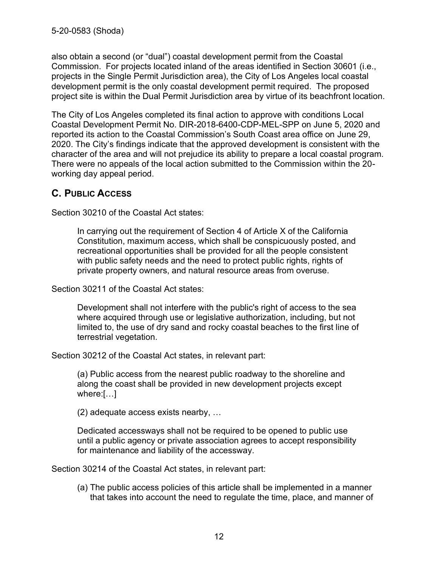also obtain a second (or "dual") coastal development permit from the Coastal Commission. For projects located inland of the areas identified in Section 30601 (i.e., projects in the Single Permit Jurisdiction area), the City of Los Angeles local coastal development permit is the only coastal development permit required. The proposed project site is within the Dual Permit Jurisdiction area by virtue of its beachfront location.

The City of Los Angeles completed its final action to approve with conditions Local Coastal Development Permit No. DIR-2018-6400-CDP-MEL-SPP on June 5, 2020 and reported its action to the Coastal Commission's South Coast area office on June 29, 2020. The City's findings indicate that the approved development is consistent with the character of the area and will not prejudice its ability to prepare a local coastal program. There were no appeals of the local action submitted to the Commission within the 20 working day appeal period.

# <span id="page-11-0"></span>**C. PUBLIC ACCESS**

Section 30210 of the Coastal Act states:

In carrying out the requirement of Section 4 of Article X of the California Constitution, maximum access, which shall be conspicuously posted, and recreational opportunities shall be provided for all the people consistent with public safety needs and the need to protect public rights, rights of private property owners, and natural resource areas from overuse.

Section 30211 of the Coastal Act states:

Development shall not interfere with the public's right of access to the sea where acquired through use or legislative authorization, including, but not limited to, the use of dry sand and rocky coastal beaches to the first line of terrestrial vegetation.

Section 30212 of the Coastal Act states, in relevant part:

(a) Public access from the nearest public roadway to the shoreline and along the coast shall be provided in new development projects except where:[…]

(2) adequate access exists nearby, …

Dedicated accessways shall not be required to be opened to public use until a public agency or private association agrees to accept responsibility for maintenance and liability of the accessway.

Section 30214 of the Coastal Act states, in relevant part:

(a) The public access policies of this article shall be implemented in a manner that takes into account the need to regulate the time, place, and manner of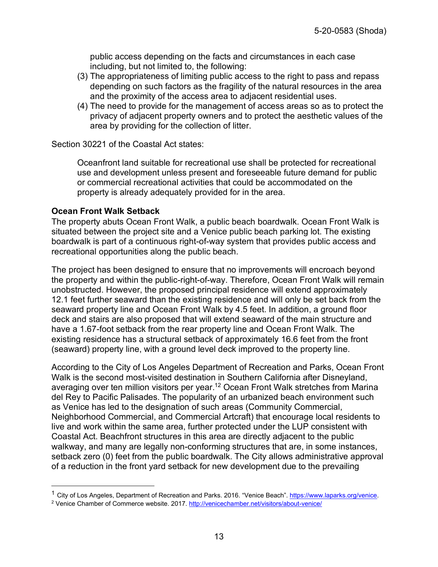public access depending on the facts and circumstances in each case including, but not limited to, the following:

- (3) The appropriateness of limiting public access to the right to pass and repass depending on such factors as the fragility of the natural resources in the area and the proximity of the access area to adjacent residential uses.
- (4) The need to provide for the management of access areas so as to protect the privacy of adjacent property owners and to protect the aesthetic values of the area by providing for the collection of litter.

Section 30221 of the Coastal Act states:

Oceanfront land suitable for recreational use shall be protected for recreational use and development unless present and foreseeable future demand for public or commercial recreational activities that could be accommodated on the property is already adequately provided for in the area.

#### **Ocean Front Walk Setback**

The property abuts Ocean Front Walk, a public beach boardwalk. Ocean Front Walk is situated between the project site and a Venice public beach parking lot. The existing boardwalk is part of a continuous right-of-way system that provides public access and recreational opportunities along the public beach.

The project has been designed to ensure that no improvements will encroach beyond the property and within the public-right-of-way. Therefore, Ocean Front Walk will remain unobstructed. However, the proposed principal residence will extend approximately 12.1 feet further seaward than the existing residence and will only be set back from the seaward property line and Ocean Front Walk by 4.5 feet. In addition, a ground floor deck and stairs are also proposed that will extend seaward of the main structure and have a 1.67-foot setback from the rear property line and Ocean Front Walk. The existing residence has a structural setback of approximately 16.6 feet from the front (seaward) property line, with a ground level deck improved to the property line.

According to the City of Los Angeles Department of Recreation and Parks, Ocean Front Walk is the second most-visited destination in Southern California after Disneyland, averaging over ten million visitors per year.<sup>12</sup> Ocean Front Walk stretches from Marina del Rey to Pacific Palisades. The popularity of an urbanized beach environment such as Venice has led to the designation of such areas (Community Commercial, Neighborhood Commercial, and Commercial Artcraft) that encourage local residents to live and work within the same area, further protected under the LUP consistent with Coastal Act. Beachfront structures in this area are directly adjacent to the public walkway, and many are legally non-conforming structures that are, in some instances, setback zero (0) feet from the public boardwalk. The City allows administrative approval of a reduction in the front yard setback for new development due to the prevailing

<sup>&</sup>lt;sup>1</sup> City of Los Angeles, Department of Recreation and Parks. 2016. "Venice Beach". [https://www.laparks.org/venice.](https://www.laparks.org/venice)

<sup>2</sup> Venice Chamber of Commerce website. 2017.<http://venicechamber.net/visitors/about-venice/>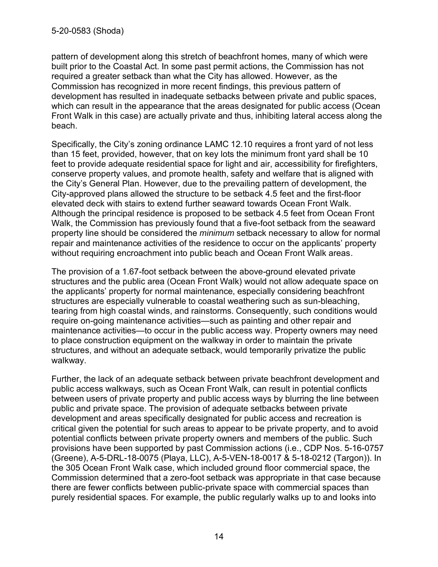pattern of development along this stretch of beachfront homes, many of which were built prior to the Coastal Act. In some past permit actions, the Commission has not required a greater setback than what the City has allowed. However, as the Commission has recognized in more recent findings, this previous pattern of development has resulted in inadequate setbacks between private and public spaces, which can result in the appearance that the areas designated for public access (Ocean Front Walk in this case) are actually private and thus, inhibiting lateral access along the beach.

Specifically, the City's zoning ordinance LAMC 12.10 requires a front yard of not less than 15 feet, provided, however, that on key lots the minimum front yard shall be 10 feet to provide adequate residential space for light and air, accessibility for firefighters, conserve property values, and promote health, safety and welfare that is aligned with the City's General Plan. However, due to the prevailing pattern of development, the City-approved plans allowed the structure to be setback 4.5 feet and the first-floor elevated deck with stairs to extend further seaward towards Ocean Front Walk. Although the principal residence is proposed to be setback 4.5 feet from Ocean Front Walk, the Commission has previously found that a five-foot setback from the seaward property line should be considered the *minimum* setback necessary to allow for normal repair and maintenance activities of the residence to occur on the applicants' property without requiring encroachment into public beach and Ocean Front Walk areas.

The provision of a 1.67-foot setback between the above-ground elevated private structures and the public area (Ocean Front Walk) would not allow adequate space on the applicants' property for normal maintenance, especially considering beachfront structures are especially vulnerable to coastal weathering such as sun-bleaching, tearing from high coastal winds, and rainstorms. Consequently, such conditions would require on-going maintenance activities—such as painting and other repair and maintenance activities—to occur in the public access way. Property owners may need to place construction equipment on the walkway in order to maintain the private structures, and without an adequate setback, would temporarily privatize the public walkway.

Further, the lack of an adequate setback between private beachfront development and public access walkways, such as Ocean Front Walk, can result in potential conflicts between users of private property and public access ways by blurring the line between public and private space. The provision of adequate setbacks between private development and areas specifically designated for public access and recreation is critical given the potential for such areas to appear to be private property, and to avoid potential conflicts between private property owners and members of the public. Such provisions have been supported by past Commission actions (i.e., CDP Nos. 5-16-0757 (Greene), A-5-DRL-18-0075 (Playa, LLC), A-5-VEN-18-0017 & 5-18-0212 (Targon)). In the 305 Ocean Front Walk case, which included ground floor commercial space, the Commission determined that a zero-foot setback was appropriate in that case because there are fewer conflicts between public-private space with commercial spaces than purely residential spaces. For example, the public regularly walks up to and looks into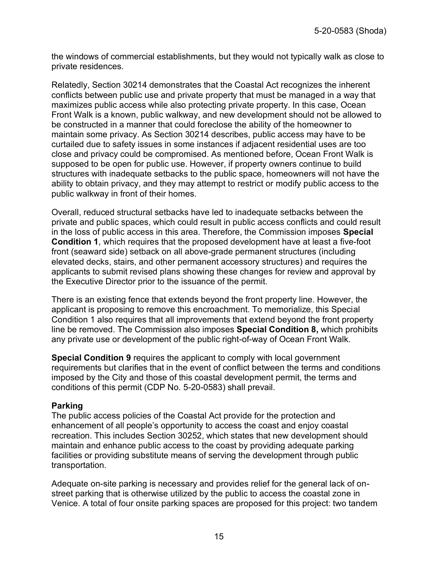the windows of commercial establishments, but they would not typically walk as close to private residences.

Relatedly, Section 30214 demonstrates that the Coastal Act recognizes the inherent conflicts between public use and private property that must be managed in a way that maximizes public access while also protecting private property. In this case, Ocean Front Walk is a known, public walkway, and new development should not be allowed to be constructed in a manner that could foreclose the ability of the homeowner to maintain some privacy. As Section 30214 describes, public access may have to be curtailed due to safety issues in some instances if adjacent residential uses are too close and privacy could be compromised. As mentioned before, Ocean Front Walk is supposed to be open for public use. However, if property owners continue to build structures with inadequate setbacks to the public space, homeowners will not have the ability to obtain privacy, and they may attempt to restrict or modify public access to the public walkway in front of their homes.

Overall, reduced structural setbacks have led to inadequate setbacks between the private and public spaces, which could result in public access conflicts and could result in the loss of public access in this area. Therefore, the Commission imposes **Special Condition 1**, which requires that the proposed development have at least a five-foot front (seaward side) setback on all above-grade permanent structures (including elevated decks, stairs, and other permanent accessory structures) and requires the applicants to submit revised plans showing these changes for review and approval by the Executive Director prior to the issuance of the permit.

There is an existing fence that extends beyond the front property line. However, the applicant is proposing to remove this encroachment. To memorialize, this Special Condition 1 also requires that all improvements that extend beyond the front property line be removed. The Commission also imposes **Special Condition 8,** which prohibits any private use or development of the public right-of-way of Ocean Front Walk.

**Special Condition 9** requires the applicant to comply with local government requirements but clarifies that in the event of conflict between the terms and conditions imposed by the City and those of this coastal development permit, the terms and conditions of this permit (CDP No. 5-20-0583) shall prevail.

#### **Parking**

The public access policies of the Coastal Act provide for the protection and enhancement of all people's opportunity to access the coast and enjoy coastal recreation. This includes Section 30252, which states that new development should maintain and enhance public access to the coast by providing adequate parking facilities or providing substitute means of serving the development through public transportation.

Adequate on-site parking is necessary and provides relief for the general lack of onstreet parking that is otherwise utilized by the public to access the coastal zone in Venice. A total of four onsite parking spaces are proposed for this project: two tandem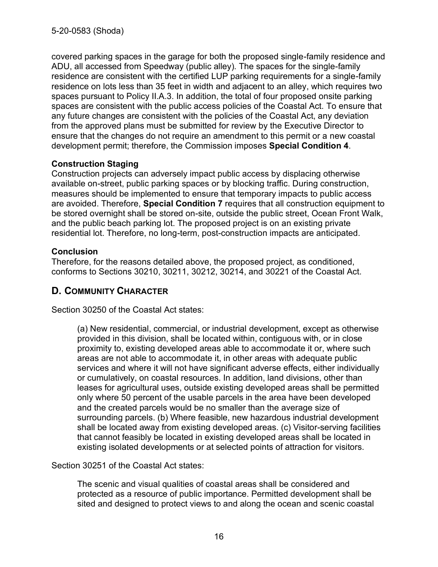covered parking spaces in the garage for both the proposed single-family residence and ADU, all accessed from Speedway (public alley). The spaces for the single-family residence are consistent with the certified LUP parking requirements for a single-family residence on lots less than 35 feet in width and adjacent to an alley, which requires two spaces pursuant to Policy II.A.3. In addition, the total of four proposed onsite parking spaces are consistent with the public access policies of the Coastal Act. To ensure that any future changes are consistent with the policies of the Coastal Act, any deviation from the approved plans must be submitted for review by the Executive Director to ensure that the changes do not require an amendment to this permit or a new coastal development permit; therefore, the Commission imposes **Special Condition 4**.

#### **Construction Staging**

Construction projects can adversely impact public access by displacing otherwise available on-street, public parking spaces or by blocking traffic. During construction, measures should be implemented to ensure that temporary impacts to public access are avoided. Therefore, **Special Condition 7** requires that all construction equipment to be stored overnight shall be stored on-site, outside the public street, Ocean Front Walk, and the public beach parking lot. The proposed project is on an existing private residential lot. Therefore, no long-term, post-construction impacts are anticipated.

#### **Conclusion**

Therefore, for the reasons detailed above, the proposed project, as conditioned, conforms to Sections 30210, 30211, 30212, 30214, and 30221 of the Coastal Act.

## <span id="page-15-0"></span>**D. COMMUNITY CHARACTER**

Section 30250 of the Coastal Act states:

(a) New residential, commercial, or industrial development, except as otherwise provided in this division, shall be located within, contiguous with, or in close proximity to, existing developed areas able to accommodate it or, where such areas are not able to accommodate it, in other areas with adequate public services and where it will not have significant adverse effects, either individually or cumulatively, on coastal resources. In addition, land divisions, other than leases for agricultural uses, outside existing developed areas shall be permitted only where 50 percent of the usable parcels in the area have been developed and the created parcels would be no smaller than the average size of surrounding parcels. (b) Where feasible, new hazardous industrial development shall be located away from existing developed areas. (c) Visitor-serving facilities that cannot feasibly be located in existing developed areas shall be located in existing isolated developments or at selected points of attraction for visitors.

Section 30251 of the Coastal Act states:

The scenic and visual qualities of coastal areas shall be considered and protected as a resource of public importance. Permitted development shall be sited and designed to protect views to and along the ocean and scenic coastal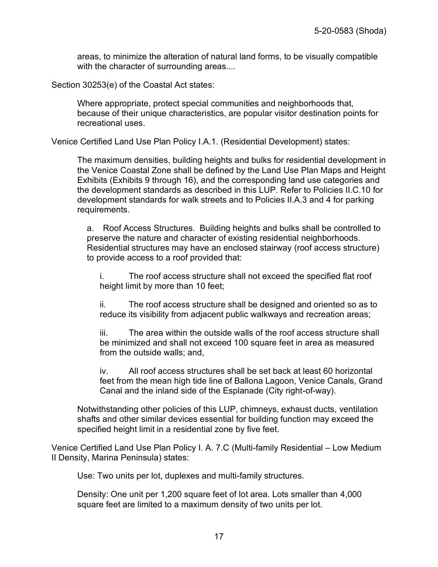areas, to minimize the alteration of natural land forms, to be visually compatible with the character of surrounding areas....

Section 30253(e) of the Coastal Act states:

Where appropriate, protect special communities and neighborhoods that, because of their unique characteristics, are popular visitor destination points for recreational uses.

Venice Certified Land Use Plan Policy I.A.1. (Residential Development) states:

The maximum densities, building heights and bulks for residential development in the Venice Coastal Zone shall be defined by the Land Use Plan Maps and Height Exhibits (Exhibits 9 through 16), and the corresponding land use categories and the development standards as described in this LUP. Refer to Policies II.C.10 for development standards for walk streets and to Policies II.A.3 and 4 for parking requirements.

a. Roof Access Structures. Building heights and bulks shall be controlled to preserve the nature and character of existing residential neighborhoods. Residential structures may have an enclosed stairway (roof access structure) to provide access to a roof provided that:

i. The roof access structure shall not exceed the specified flat roof height limit by more than 10 feet;

ii. The roof access structure shall be designed and oriented so as to reduce its visibility from adjacent public walkways and recreation areas;

iii. The area within the outside walls of the roof access structure shall be minimized and shall not exceed 100 square feet in area as measured from the outside walls; and,

iv. All roof access structures shall be set back at least 60 horizontal feet from the mean high tide line of Ballona Lagoon, Venice Canals, Grand Canal and the inland side of the Esplanade (City right-of-way).

Notwithstanding other policies of this LUP, chimneys, exhaust ducts, ventilation shafts and other similar devices essential for building function may exceed the specified height limit in a residential zone by five feet.

Venice Certified Land Use Plan Policy I. A. 7.C (Multi-family Residential – Low Medium II Density, Marina Peninsula) states:

Use: Two units per lot, duplexes and multi-family structures.

Density: One unit per 1,200 square feet of lot area. Lots smaller than 4,000 square feet are limited to a maximum density of two units per lot.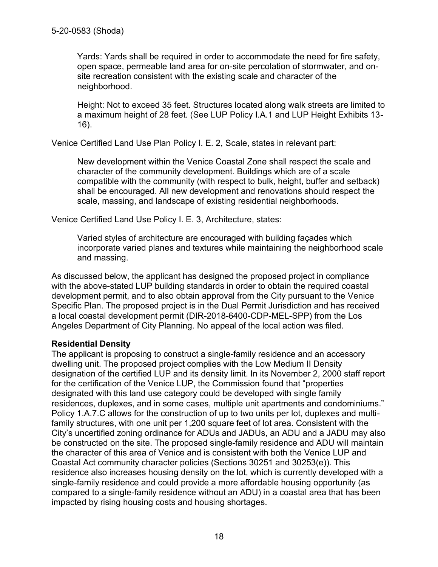Yards: Yards shall be required in order to accommodate the need for fire safety, open space, permeable land area for on-site percolation of stormwater, and onsite recreation consistent with the existing scale and character of the neighborhood.

Height: Not to exceed 35 feet. Structures located along walk streets are limited to a maximum height of 28 feet. (See LUP Policy I.A.1 and LUP Height Exhibits 13- 16).

Venice Certified Land Use Plan Policy I. E. 2, Scale, states in relevant part:

New development within the Venice Coastal Zone shall respect the scale and character of the community development. Buildings which are of a scale compatible with the community (with respect to bulk, height, buffer and setback) shall be encouraged. All new development and renovations should respect the scale, massing, and landscape of existing residential neighborhoods.

Venice Certified Land Use Policy I. E. 3, Architecture, states:

Varied styles of architecture are encouraged with building façades which incorporate varied planes and textures while maintaining the neighborhood scale and massing.

As discussed below, the applicant has designed the proposed project in compliance with the above-stated LUP building standards in order to obtain the required coastal development permit, and to also obtain approval from the City pursuant to the Venice Specific Plan. The proposed project is in the Dual Permit Jurisdiction and has received a local coastal development permit (DIR-2018-6400-CDP-MEL-SPP) from the Los Angeles Department of City Planning. No appeal of the local action was filed.

#### **Residential Density**

The applicant is proposing to construct a single-family residence and an accessory dwelling unit. The proposed project complies with the Low Medium II Density designation of the certified LUP and its density limit. In its November 2, 2000 staff report for the certification of the Venice LUP, the Commission found that "properties designated with this land use category could be developed with single family residences, duplexes, and in some cases, multiple unit apartments and condominiums." Policy 1.A.7.C allows for the construction of up to two units per lot, duplexes and multifamily structures, with one unit per 1,200 square feet of lot area. Consistent with the City's uncertified zoning ordinance for ADUs and JADUs, an ADU and a JADU may also be constructed on the site. The proposed single-family residence and ADU will maintain the character of this area of Venice and is consistent with both the Venice LUP and Coastal Act community character policies (Sections 30251 and 30253(e)). This residence also increases housing density on the lot, which is currently developed with a single-family residence and could provide a more affordable housing opportunity (as compared to a single-family residence without an ADU) in a coastal area that has been impacted by rising housing costs and housing shortages.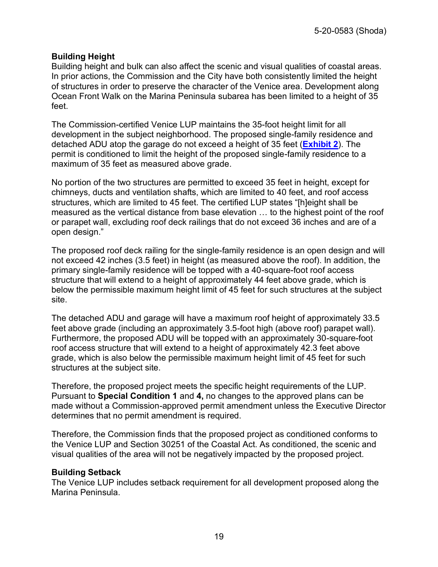#### **Building Height**

Building height and bulk can also affect the scenic and visual qualities of coastal areas. In prior actions, the Commission and the City have both consistently limited the height of structures in order to preserve the character of the Venice area. Development along Ocean Front Walk on the Marina Peninsula subarea has been limited to a height of 35 feet.

The Commission-certified Venice LUP maintains the 35-foot height limit for all development in the subject neighborhood. The proposed single-family residence and detached ADU atop the garage do not exceed a height of 35 feet (**[Exhibit 2](https://documents.coastal.ca.gov/reports/2021/3/Th13f/Th13f-3-2021-exhibits.pdf)**). The permit is conditioned to limit the height of the proposed single-family residence to a maximum of 35 feet as measured above grade.

No portion of the two structures are permitted to exceed 35 feet in height, except for chimneys, ducts and ventilation shafts, which are limited to 40 feet, and roof access structures, which are limited to 45 feet. The certified LUP states "[h]eight shall be measured as the vertical distance from base elevation … to the highest point of the roof or parapet wall, excluding roof deck railings that do not exceed 36 inches and are of a open design."

The proposed roof deck railing for the single-family residence is an open design and will not exceed 42 inches (3.5 feet) in height (as measured above the roof). In addition, the primary single-family residence will be topped with a 40-square-foot roof access structure that will extend to a height of approximately 44 feet above grade, which is below the permissible maximum height limit of 45 feet for such structures at the subject site.

The detached ADU and garage will have a maximum roof height of approximately 33.5 feet above grade (including an approximately 3.5-foot high (above roof) parapet wall). Furthermore, the proposed ADU will be topped with an approximately 30-square-foot roof access structure that will extend to a height of approximately 42.3 feet above grade, which is also below the permissible maximum height limit of 45 feet for such structures at the subject site.

Therefore, the proposed project meets the specific height requirements of the LUP. Pursuant to **Special Condition 1** and **4,** no changes to the approved plans can be made without a Commission-approved permit amendment unless the Executive Director determines that no permit amendment is required.

Therefore, the Commission finds that the proposed project as conditioned conforms to the Venice LUP and Section 30251 of the Coastal Act. As conditioned, the scenic and visual qualities of the area will not be negatively impacted by the proposed project.

#### **Building Setback**

The Venice LUP includes setback requirement for all development proposed along the Marina Peninsula.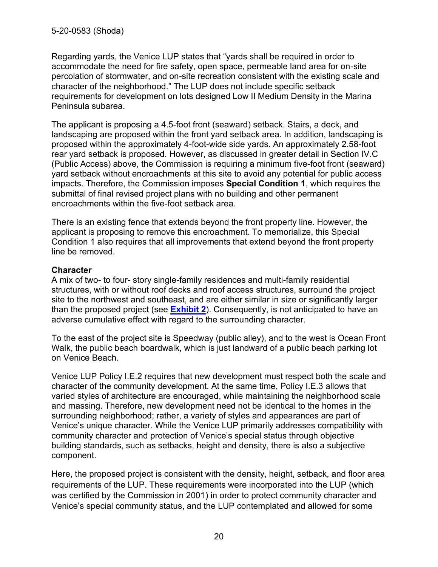Regarding yards, the Venice LUP states that "yards shall be required in order to accommodate the need for fire safety, open space, permeable land area for on-site percolation of stormwater, and on-site recreation consistent with the existing scale and character of the neighborhood." The LUP does not include specific setback requirements for development on lots designed Low II Medium Density in the Marina Peninsula subarea.

The applicant is proposing a 4.5-foot front (seaward) setback. Stairs, a deck, and landscaping are proposed within the front yard setback area. In addition, landscaping is proposed within the approximately 4-foot-wide side yards. An approximately 2.58-foot rear yard setback is proposed. However, as discussed in greater detail in Section IV.C (Public Access) above, the Commission is requiring a minimum five-foot front (seaward) yard setback without encroachments at this site to avoid any potential for public access impacts. Therefore, the Commission imposes **Special Condition 1**, which requires the submittal of final revised project plans with no building and other permanent encroachments within the five-foot setback area.

There is an existing fence that extends beyond the front property line. However, the applicant is proposing to remove this encroachment. To memorialize, this Special Condition 1 also requires that all improvements that extend beyond the front property line be removed.

#### **Character**

A mix of two- to four- story single-family residences and multi-family residential structures, with or without roof decks and roof access structures, surround the project site to the northwest and southeast, and are either similar in size or significantly larger than the proposed project (see **[Exhibit 2](https://documents.coastal.ca.gov/reports/2021/3/Th13f/Th13f-3-2021-exhibits.pdf)**). Consequently, is not anticipated to have an adverse cumulative effect with regard to the surrounding character.

To the east of the project site is Speedway (public alley), and to the west is Ocean Front Walk, the public beach boardwalk, which is just landward of a public beach parking lot on Venice Beach.

Venice LUP Policy I.E.2 requires that new development must respect both the scale and character of the community development. At the same time, Policy I.E.3 allows that varied styles of architecture are encouraged, while maintaining the neighborhood scale and massing. Therefore, new development need not be identical to the homes in the surrounding neighborhood; rather, a variety of styles and appearances are part of Venice's unique character. While the Venice LUP primarily addresses compatibility with community character and protection of Venice's special status through objective building standards, such as setbacks, height and density, there is also a subjective component.

Here, the proposed project is consistent with the density, height, setback, and floor area requirements of the LUP. These requirements were incorporated into the LUP (which was certified by the Commission in 2001) in order to protect community character and Venice's special community status, and the LUP contemplated and allowed for some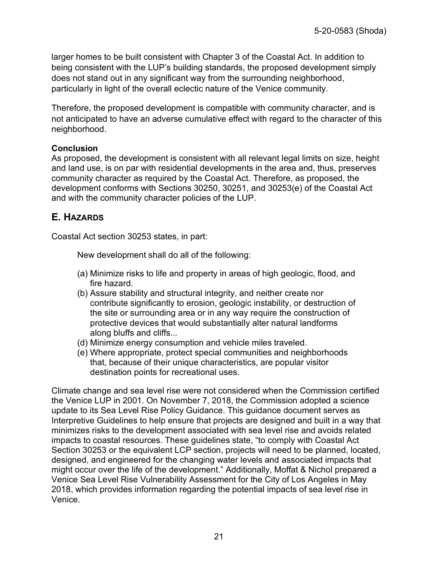larger homes to be built consistent with Chapter 3 of the Coastal Act. In addition to being consistent with the LUP's building standards, the proposed development simply does not stand out in any significant way from the surrounding neighborhood, particularly in light of the overall eclectic nature of the Venice community.

Therefore, the proposed development is compatible with community character, and is not anticipated to have an adverse cumulative effect with regard to the character of this neighborhood.

#### **Conclusion**

As proposed, the development is consistent with all relevant legal limits on size, height and land use, is on par with residential developments in the area and, thus, preserves community character as required by the Coastal Act. Therefore, as proposed, the development conforms with Sections 30250, 30251, and 30253(e) of the Coastal Act and with the community character policies of the LUP.

# <span id="page-20-0"></span>**E. HAZARDS**

Coastal Act section 30253 states, in part:

New development shall do all of the following:

- (a) Minimize risks to life and property in areas of high geologic, flood, and fire hazard.
- (b) Assure stability and structural integrity, and neither create nor contribute significantly to erosion, geologic instability, or destruction of the site or surrounding area or in any way require the construction of protective devices that would substantially alter natural landforms along bluffs and cliffs...
- (d) Minimize energy consumption and vehicle miles traveled.
- (e) Where appropriate, protect special communities and neighborhoods that, because of their unique characteristics, are popular visitor destination points for recreational uses.

Climate change and sea level rise were not considered when the Commission certified the Venice LUP in 2001. On November 7, 2018, the Commission adopted a science update to its Sea Level Rise Policy Guidance. This guidance document serves as Interpretive Guidelines to help ensure that projects are designed and built in a way that minimizes risks to the development associated with sea level rise and avoids related impacts to coastal resources. These guidelines state, "to comply with Coastal Act Section 30253 or the equivalent LCP section, projects will need to be planned, located, designed, and engineered for the changing water levels and associated impacts that might occur over the life of the development." Additionally, Moffat & Nichol prepared a Venice Sea Level Rise Vulnerability Assessment for the City of Los Angeles in May 2018, which provides information regarding the potential impacts of sea level rise in Venice.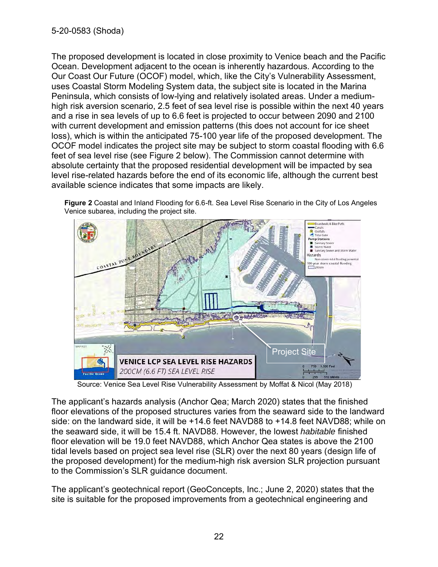The proposed development is located in close proximity to Venice beach and the Pacific Ocean. Development adjacent to the ocean is inherently hazardous. According to the Our Coast Our Future (OCOF) model, which, like the City's Vulnerability Assessment, uses Coastal Storm Modeling System data, the subject site is located in the Marina Peninsula, which consists of low-lying and relatively isolated areas. Under a mediumhigh risk aversion scenario, 2.5 feet of sea level rise is possible within the next 40 years and a rise in sea levels of up to 6.6 feet is projected to occur between 2090 and 2100 with current development and emission patterns (this does not account for ice sheet loss), which is within the anticipated 75-100 year life of the proposed development. The OCOF model indicates the project site may be subject to storm coastal flooding with 6.6 feet of sea level rise (see Figure 2 below). The Commission cannot determine with absolute certainty that the proposed residential development will be impacted by sea level rise-related hazards before the end of its economic life, although the current best available science indicates that some impacts are likely.

**Figure 2** Coastal and Inland Flooding for 6.6-ft. Sea Level Rise Scenario in the City of Los Angeles Venice subarea, including the project site.



Source: Venice Sea Level Rise Vulnerability Assessment by Moffat & Nicol (May 2018)

The applicant's hazards analysis (Anchor Qea; March 2020) states that the finished floor elevations of the proposed structures varies from the seaward side to the landward side: on the landward side, it will be +14.6 feet NAVD88 to +14.8 feet NAVD88; while on the seaward side, it will be 15.4 ft. NAVD88. However, the lowest *habitable* finished floor elevation will be 19.0 feet NAVD88, which Anchor Qea states is above the 2100 tidal levels based on project sea level rise (SLR) over the next 80 years (design life of the proposed development) for the medium-high risk aversion SLR projection pursuant to the Commission's SLR guidance document.

The applicant's geotechnical report (GeoConcepts, Inc.; June 2, 2020) states that the site is suitable for the proposed improvements from a geotechnical engineering and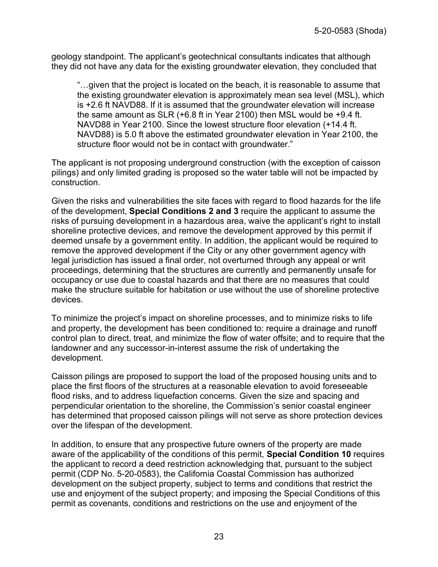geology standpoint. The applicant's geotechnical consultants indicates that although they did not have any data for the existing groundwater elevation, they concluded that

"…given that the project is located on the beach, it is reasonable to assume that the existing groundwater elevation is approximately mean sea level (MSL), which is +2.6 ft NAVD88. If it is assumed that the groundwater elevation will increase the same amount as SLR (+6.8 ft in Year 2100) then MSL would be +9.4 ft. NAVD88 in Year 2100. Since the lowest structure floor elevation (+14.4 ft. NAVD88) is 5.0 ft above the estimated groundwater elevation in Year 2100, the structure floor would not be in contact with groundwater."

The applicant is not proposing underground construction (with the exception of caisson pilings) and only limited grading is proposed so the water table will not be impacted by construction.

Given the risks and vulnerabilities the site faces with regard to flood hazards for the life of the development, **Special Conditions 2 and 3** require the applicant to assume the risks of pursuing development in a hazardous area, waive the applicant's right to install shoreline protective devices, and remove the development approved by this permit if deemed unsafe by a government entity. In addition, the applicant would be required to remove the approved development if the City or any other government agency with legal jurisdiction has issued a final order, not overturned through any appeal or writ proceedings, determining that the structures are currently and permanently unsafe for occupancy or use due to coastal hazards and that there are no measures that could make the structure suitable for habitation or use without the use of shoreline protective devices.

To minimize the project's impact on shoreline processes, and to minimize risks to life and property, the development has been conditioned to: require a drainage and runoff control plan to direct, treat, and minimize the flow of water offsite; and to require that the landowner and any successor-in-interest assume the risk of undertaking the development.

Caisson pilings are proposed to support the load of the proposed housing units and to place the first floors of the structures at a reasonable elevation to avoid foreseeable flood risks, and to address liquefaction concerns. Given the size and spacing and perpendicular orientation to the shoreline, the Commission's senior coastal engineer has determined that proposed caisson pilings will not serve as shore protection devices over the lifespan of the development.

In addition, to ensure that any prospective future owners of the property are made aware of the applicability of the conditions of this permit, **Special Condition 10** requires the applicant to record a deed restriction acknowledging that, pursuant to the subject permit (CDP No. 5-20-0583), the California Coastal Commission has authorized development on the subject property, subject to terms and conditions that restrict the use and enjoyment of the subject property; and imposing the Special Conditions of this permit as covenants, conditions and restrictions on the use and enjoyment of the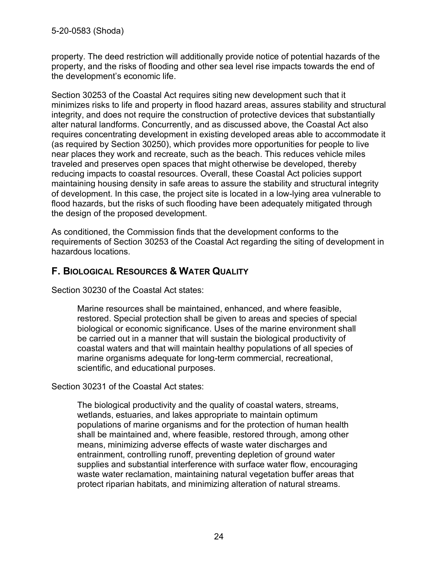property. The deed restriction will additionally provide notice of potential hazards of the property, and the risks of flooding and other sea level rise impacts towards the end of the development's economic life.

Section 30253 of the Coastal Act requires siting new development such that it minimizes risks to life and property in flood hazard areas, assures stability and structural integrity, and does not require the construction of protective devices that substantially alter natural landforms. Concurrently, and as discussed above, the Coastal Act also requires concentrating development in existing developed areas able to accommodate it (as required by Section 30250), which provides more opportunities for people to live near places they work and recreate, such as the beach. This reduces vehicle miles traveled and preserves open spaces that might otherwise be developed, thereby reducing impacts to coastal resources. Overall, these Coastal Act policies support maintaining housing density in safe areas to assure the stability and structural integrity of development. In this case, the project site is located in a low-lying area vulnerable to flood hazards, but the risks of such flooding have been adequately mitigated through the design of the proposed development.

As conditioned, the Commission finds that the development conforms to the requirements of Section 30253 of the Coastal Act regarding the siting of development in hazardous locations.

# <span id="page-23-0"></span>**F. BIOLOGICAL RESOURCES & WATER QUALITY**

Section 30230 of the Coastal Act states:

Marine resources shall be maintained, enhanced, and where feasible, restored. Special protection shall be given to areas and species of special biological or economic significance. Uses of the marine environment shall be carried out in a manner that will sustain the biological productivity of coastal waters and that will maintain healthy populations of all species of marine organisms adequate for long-term commercial, recreational, scientific, and educational purposes.

Section 30231 of the Coastal Act states:

The biological productivity and the quality of coastal waters, streams, wetlands, estuaries, and lakes appropriate to maintain optimum populations of marine organisms and for the protection of human health shall be maintained and, where feasible, restored through, among other means, minimizing adverse effects of waste water discharges and entrainment, controlling runoff, preventing depletion of ground water supplies and substantial interference with surface water flow, encouraging waste water reclamation, maintaining natural vegetation buffer areas that protect riparian habitats, and minimizing alteration of natural streams.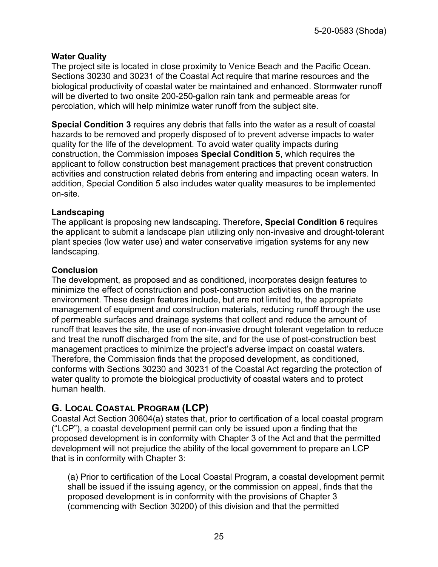#### **Water Quality**

The project site is located in close proximity to Venice Beach and the Pacific Ocean. Sections 30230 and 30231 of the Coastal Act require that marine resources and the biological productivity of coastal water be maintained and enhanced. Stormwater runoff will be diverted to two onsite 200-250-gallon rain tank and permeable areas for percolation, which will help minimize water runoff from the subject site.

**Special Condition 3** requires any debris that falls into the water as a result of coastal hazards to be removed and properly disposed of to prevent adverse impacts to water quality for the life of the development. To avoid water quality impacts during construction, the Commission imposes **Special Condition 5**, which requires the applicant to follow construction best management practices that prevent construction activities and construction related debris from entering and impacting ocean waters. In addition, Special Condition 5 also includes water quality measures to be implemented on-site.

#### **Landscaping**

The applicant is proposing new landscaping. Therefore, **Special Condition 6** requires the applicant to submit a landscape plan utilizing only non-invasive and drought-tolerant plant species (low water use) and water conservative irrigation systems for any new landscaping.

#### **Conclusion**

The development, as proposed and as conditioned, incorporates design features to minimize the effect of construction and post-construction activities on the marine environment. These design features include, but are not limited to, the appropriate management of equipment and construction materials, reducing runoff through the use of permeable surfaces and drainage systems that collect and reduce the amount of runoff that leaves the site, the use of non-invasive drought tolerant vegetation to reduce and treat the runoff discharged from the site, and for the use of post-construction best management practices to minimize the project's adverse impact on coastal waters. Therefore, the Commission finds that the proposed development, as conditioned, conforms with Sections 30230 and 30231 of the Coastal Act regarding the protection of water quality to promote the biological productivity of coastal waters and to protect human health.

# <span id="page-24-0"></span>**G. LOCAL COASTAL PROGRAM (LCP)**

Coastal Act Section 30604(a) states that, prior to certification of a local coastal program ("LCP"), a coastal development permit can only be issued upon a finding that the proposed development is in conformity with Chapter 3 of the Act and that the permitted development will not prejudice the ability of the local government to prepare an LCP that is in conformity with Chapter 3:

(a) Prior to certification of the Local Coastal Program, a coastal development permit shall be issued if the issuing agency, or the commission on appeal, finds that the proposed development is in conformity with the provisions of Chapter 3 (commencing with Section 30200) of this division and that the permitted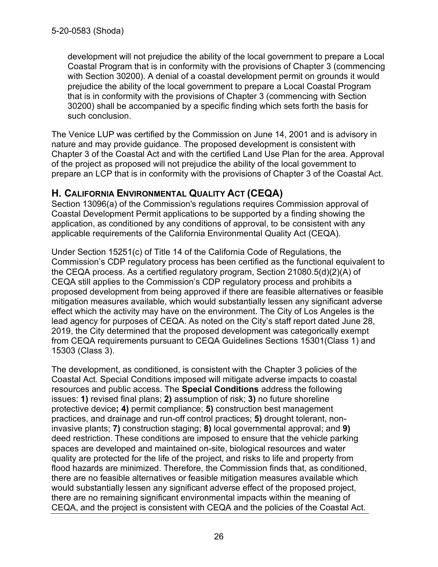development will not prejudice the ability of the local government to prepare a Local Coastal Program that is in conformity with the provisions of Chapter 3 (commencing with Section 30200). A denial of a coastal development permit on grounds it would prejudice the ability of the local government to prepare a Local Coastal Program that is in conformity with the provisions of Chapter 3 (commencing with Section 30200) shall be accompanied by a specific finding which sets forth the basis for such conclusion.

The Venice LUP was certified by the Commission on June 14, 2001 and is advisory in nature and may provide guidance. The proposed development is consistent with Chapter 3 of the Coastal Act and with the certified Land Use Plan for the area. Approval of the project as proposed will not prejudice the ability of the local government to prepare an LCP that is in conformity with the provisions of Chapter 3 of the Coastal Act.

# <span id="page-25-0"></span>**H. CALIFORNIA ENVIRONMENTAL QUALITY ACT (CEQA)**

Section 13096(a) of the Commission's regulations requires Commission approval of Coastal Development Permit applications to be supported by a finding showing the application, as conditioned by any conditions of approval, to be consistent with any applicable requirements of the California Environmental Quality Act (CEQA).

Under Section 15251(c) of Title 14 of the California Code of Regulations, the Commission's CDP regulatory process has been certified as the functional equivalent to the CEQA process. As a certified regulatory program, Section 21080.5(d)(2)(A) of CEQA still applies to the Commission's CDP regulatory process and prohibits a proposed development from being approved if there are feasible alternatives or feasible mitigation measures available, which would substantially lessen any significant adverse effect which the activity may have on the environment. The City of Los Angeles is the lead agency for purposes of CEQA. As noted on the City's staff report dated June 28, 2019, the City determined that the proposed development was categorically exempt from CEQA requirements pursuant to CEQA Guidelines Sections 15301(Class 1) and 15303 (Class 3).

The development, as conditioned, is consistent with the Chapter 3 policies of the Coastal Act. Special Conditions imposed will mitigate adverse impacts to coastal resources and public access. The **Special Conditions** address the following issues: **1)** revised final plans; **2)** assumption of risk; **3)** no future shoreline protective device**; 4)** permit compliance; **5)** construction best management practices, and drainage and run-off control practices; **5)** drought tolerant, noninvasive plants; **7)** construction staging; **8)** local governmental approval; and **9)**  deed restriction. These conditions are imposed to ensure that the vehicle parking spaces are developed and maintained on-site, biological resources and water quality are protected for the life of the project, and risks to life and property from flood hazards are minimized. Therefore, the Commission finds that, as conditioned, there are no feasible alternatives or feasible mitigation measures available which would substantially lessen any significant adverse effect of the proposed project, there are no remaining significant environmental impacts within the meaning of CEQA, and the project is consistent with CEQA and the policies of the Coastal Act.